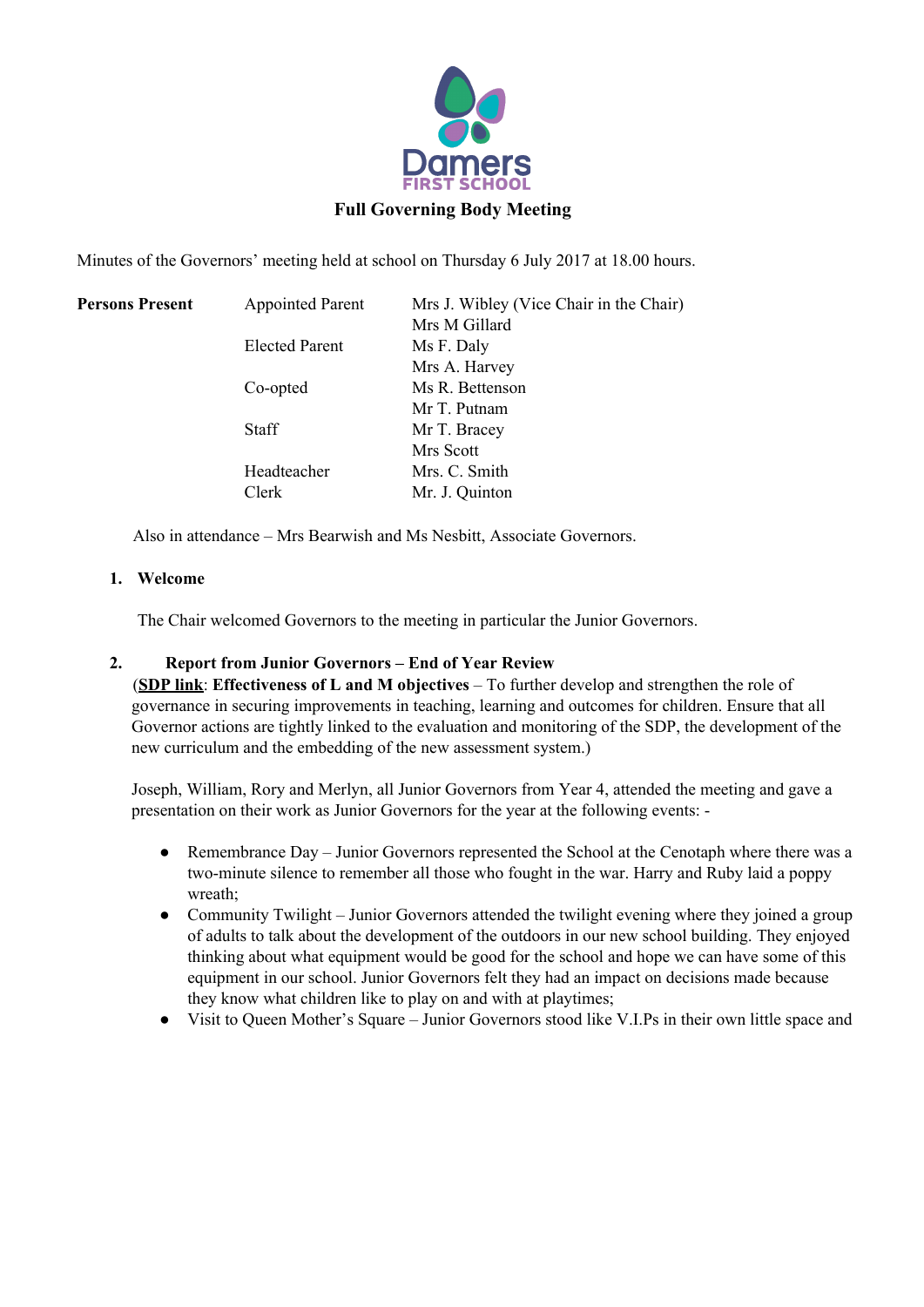

Minutes of the Governors' meeting held at school on Thursday 6 July 2017 at 18.00 hours.

| <b>Persons Present</b> | <b>Appointed Parent</b> | Mrs J. Wibley (Vice Chair in the Chair) |
|------------------------|-------------------------|-----------------------------------------|
|                        |                         | Mrs M Gillard                           |
|                        | <b>Elected Parent</b>   | Ms F. Daly                              |
|                        |                         | Mrs A. Harvey                           |
|                        | Co-opted                | Ms R. Bettenson                         |
|                        |                         | Mr T. Putnam                            |
|                        | <b>Staff</b>            | Mr T. Bracey                            |
|                        |                         | Mrs Scott                               |
|                        | Headteacher             | Mrs. C. Smith                           |
|                        | Clerk                   | Mr. J. Quinton                          |

Also in attendance – Mrs Bearwish and Ms Nesbitt, Associate Governors.

#### **1. Welcome**

The Chair welcomed Governors to the meeting in particular the Junior Governors.

### **2. Report from Junior Governors – End of Year Review**

(**SDP link**: **Effectiveness of L and M objectives** – To further develop and strengthen the role of governance in securing improvements in teaching, learning and outcomes for children. Ensure that all Governor actions are tightly linked to the evaluation and monitoring of the SDP, the development of the new curriculum and the embedding of the new assessment system.)

Joseph, William, Rory and Merlyn, all Junior Governors from Year 4, attended the meeting and gave a presentation on their work as Junior Governors for the year at the following events: -

- Remembrance Day Junior Governors represented the School at the Cenotaph where there was a two-minute silence to remember all those who fought in the war. Harry and Ruby laid a poppy wreath;
- Community Twilight Junior Governors attended the twilight evening where they joined a group of adults to talk about the development of the outdoors in our new school building. They enjoyed thinking about what equipment would be good for the school and hope we can have some of this equipment in our school. Junior Governors felt they had an impact on decisions made because they know what children like to play on and with at playtimes;
- Visit to Queen Mother's Square Junior Governors stood like V.I.Ps in their own little space and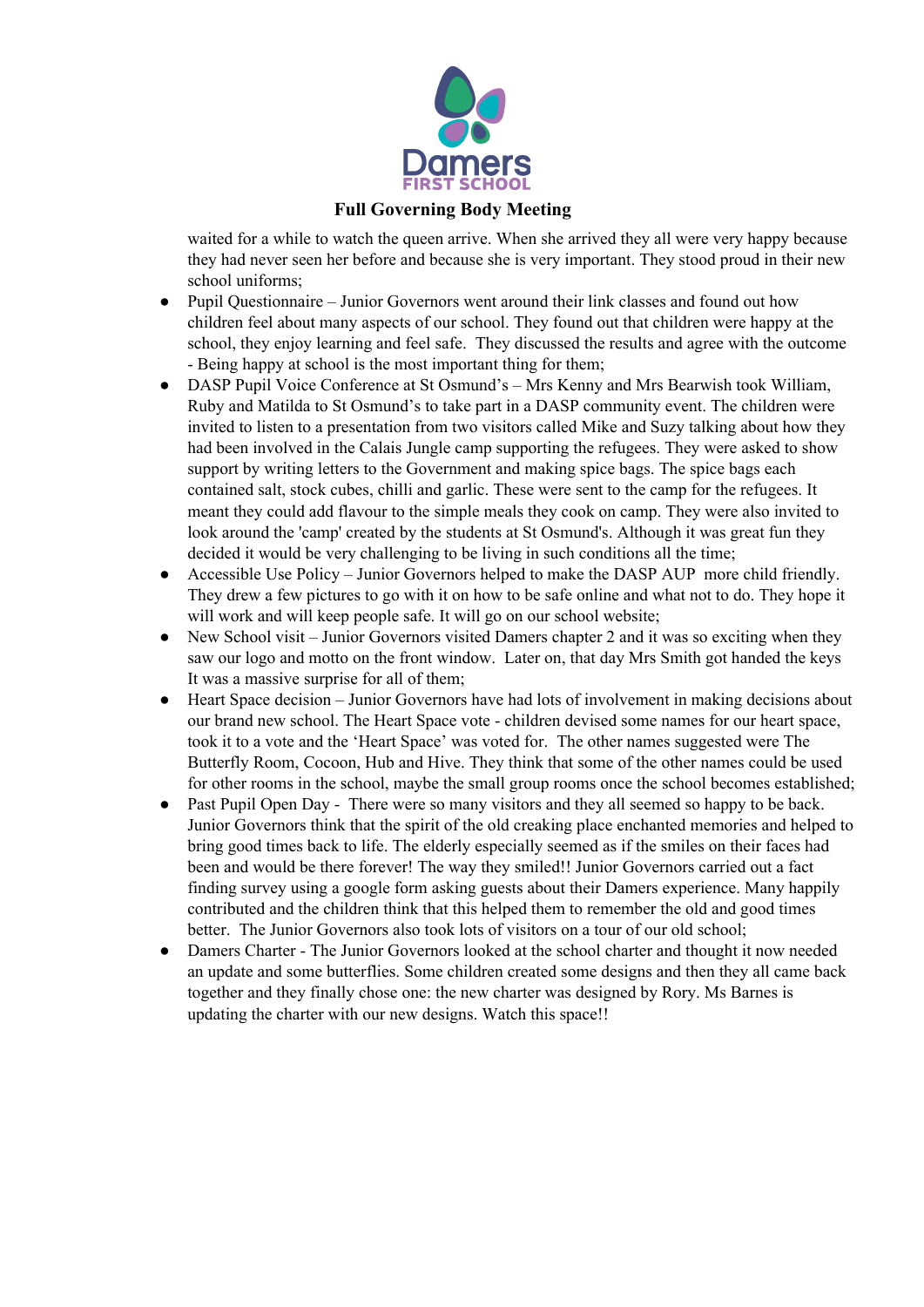

waited for a while to watch the queen arrive. When she arrived they all were very happy because they had never seen her before and because she is very important. They stood proud in their new school uniforms;

- Pupil Questionnaire Junior Governors went around their link classes and found out how children feel about many aspects of our school. They found out that children were happy at the school, they enjoy learning and feel safe. They discussed the results and agree with the outcome - Being happy at school is the most important thing for them;
- DASP Pupil Voice Conference at St Osmund's Mrs Kenny and Mrs Bearwish took William, Ruby and Matilda to St Osmund's to take part in a DASP community event. The children were invited to listen to a presentation from two visitors called Mike and Suzy talking about how they had been involved in the Calais Jungle camp supporting the refugees. They were asked to show support by writing letters to the Government and making spice bags. The spice bags each contained salt, stock cubes, chilli and garlic. These were sent to the camp for the refugees. It meant they could add flavour to the simple meals they cook on camp. They were also invited to look around the 'camp' created by the students at St Osmund's. Although it was great fun they decided it would be very challenging to be living in such conditions all the time;
- Accessible Use Policy Junior Governors helped to make the DASP AUP more child friendly. They drew a few pictures to go with it on how to be safe online and what not to do. They hope it will work and will keep people safe. It will go on our school website;
- New School visit Junior Governors visited Damers chapter 2 and it was so exciting when they saw our logo and motto on the front window. Later on, that day Mrs Smith got handed the keys It was a massive surprise for all of them;
- Heart Space decision Junior Governors have had lots of involvement in making decisions about our brand new school. The Heart Space vote - children devised some names for our heart space, took it to a vote and the 'Heart Space' was voted for. The other names suggested were The Butterfly Room, Cocoon, Hub and Hive. They think that some of the other names could be used for other rooms in the school, maybe the small group rooms once the school becomes established;
- Past Pupil Open Day There were so many visitors and they all seemed so happy to be back. Junior Governors think that the spirit of the old creaking place enchanted memories and helped to bring good times back to life. The elderly especially seemed as if the smiles on their faces had been and would be there forever! The way they smiled!! Junior Governors carried out a fact finding survey using a google form asking guests about their Damers experience. Many happily contributed and the children think that this helped them to remember the old and good times better. The Junior Governors also took lots of visitors on a tour of our old school;
- Damers Charter The Junior Governors looked at the school charter and thought it now needed an update and some butterflies. Some children created some designs and then they all came back together and they finally chose one: the new charter was designed by Rory. Ms Barnes is updating the charter with our new designs. Watch this space!!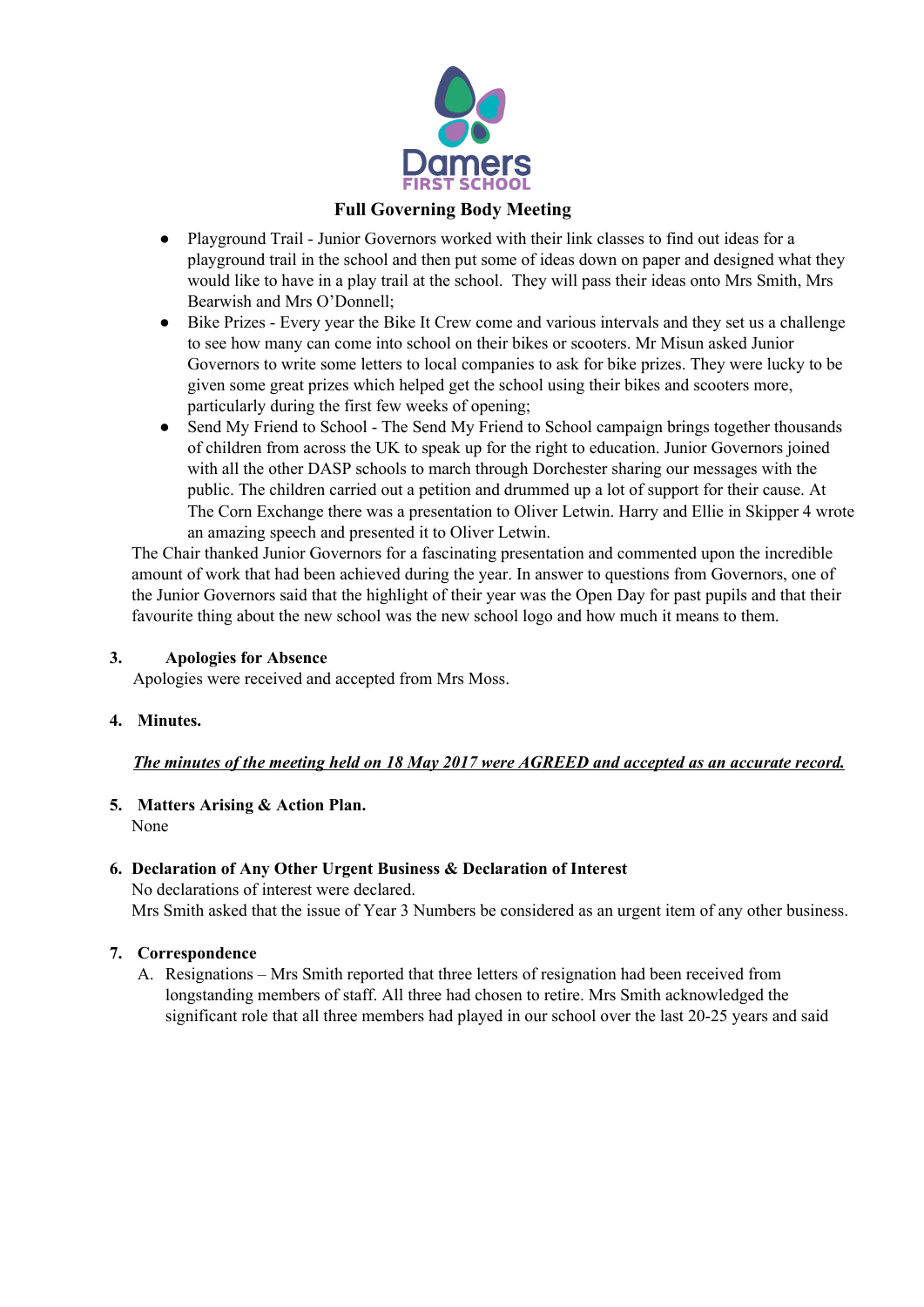

- Playground Trail Junior Governors worked with their link classes to find out ideas for a playground trail in the school and then put some of ideas down on paper and designed what they would like to have in a play trail at the school. They will pass their ideas onto Mrs Smith, Mrs Bearwish and Mrs O'Donnell;
- Bike Prizes Every year the Bike It Crew come and various intervals and they set us a challenge to see how many can come into school on their bikes or scooters. Mr Misun asked Junior Governors to write some letters to local companies to ask for bike prizes. They were lucky to be given some great prizes which helped get the school using their bikes and scooters more, particularly during the first few weeks of opening;
- Send My Friend to School The Send My Friend to School campaign brings together thousands of children from across the UK to speak up for the right to education. Junior Governors joined with all the other DASP schools to march through Dorchester sharing our messages with the public. The children carried out a petition and drummed up a lot of support for their cause. At The Corn Exchange there was a presentation to Oliver Letwin. Harry and Ellie in Skipper 4 wrote an amazing speech and presented it to Oliver Letwin.

The Chair thanked Junior Governors for a fascinating presentation and commented upon the incredible amount of work that had been achieved during the year. In answer to questions from Governors, one of the Junior Governors said that the highlight of their year was the Open Day for past pupils and that their favourite thing about the new school was the new school logo and how much it means to them.

### **3. Apologies for Absence**

Apologies were received and accepted from Mrs Moss.

### **4. Minutes.**

### *The minutes of the meeting held on 18 May 2017 were AGREED and accepted as an accurate record.*

**5. Matters Arising & Action Plan.** None

# **6. Declaration of Any Other Urgent Business & Declaration of Interest**

No declarations of interest were declared. Mrs Smith asked that the issue of Year 3 Numbers be considered as an urgent item of any other business.

### **7. Correspondence**

A. Resignations – Mrs Smith reported that three letters of resignation had been received from longstanding members of staff. All three had chosen to retire. Mrs Smith acknowledged the significant role that all three members had played in our school over the last 20-25 years and said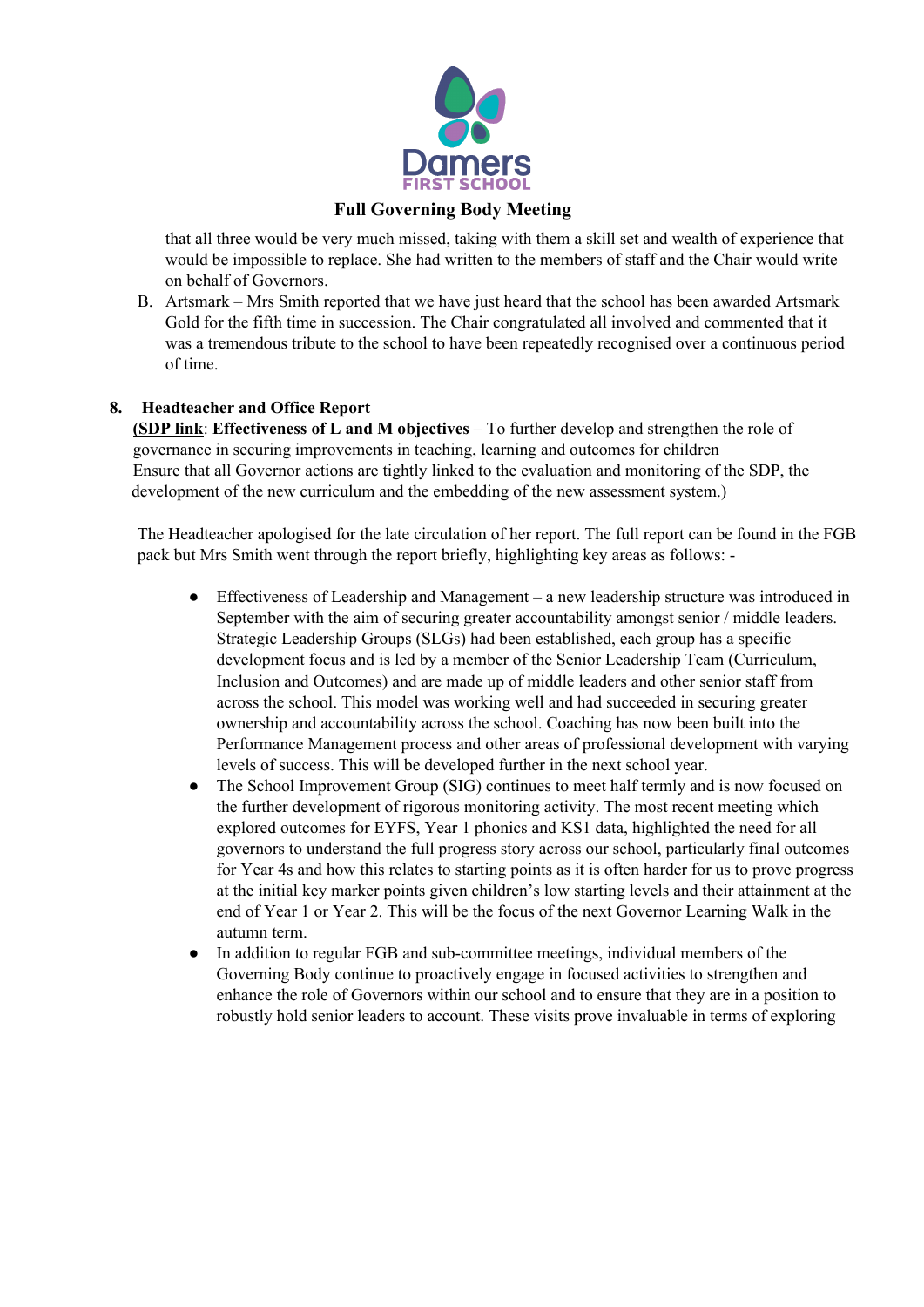

that all three would be very much missed, taking with them a skill set and wealth of experience that would be impossible to replace. She had written to the members of staff and the Chair would write on behalf of Governors.

B. Artsmark – Mrs Smith reported that we have just heard that the school has been awarded Artsmark Gold for the fifth time in succession. The Chair congratulated all involved and commented that it was a tremendous tribute to the school to have been repeatedly recognised over a continuous period of time.

### **8. Headteacher and Office Report**

**(SDP link**: **Effectiveness of L and M objectives** – To further develop and strengthen the role of governance in securing improvements in teaching, learning and outcomes for children Ensure that all Governor actions are tightly linked to the evaluation and monitoring of the SDP, the development of the new curriculum and the embedding of the new assessment system.)

The Headteacher apologised for the late circulation of her report. The full report can be found in the FGB pack but Mrs Smith went through the report briefly, highlighting key areas as follows: -

- Effectiveness of Leadership and Management a new leadership structure was introduced in September with the aim of securing greater accountability amongst senior / middle leaders. Strategic Leadership Groups (SLGs) had been established, each group has a specific development focus and is led by a member of the Senior Leadership Team (Curriculum, Inclusion and Outcomes) and are made up of middle leaders and other senior staff from across the school. This model was working well and had succeeded in securing greater ownership and accountability across the school. Coaching has now been built into the Performance Management process and other areas of professional development with varying levels of success. This will be developed further in the next school year.
- The School Improvement Group (SIG) continues to meet half termly and is now focused on the further development of rigorous monitoring activity. The most recent meeting which explored outcomes for EYFS, Year 1 phonics and KS1 data, highlighted the need for all governors to understand the full progress story across our school, particularly final outcomes for Year 4s and how this relates to starting points as it is often harder for us to prove progress at the initial key marker points given children's low starting levels and their attainment at the end of Year 1 or Year 2. This will be the focus of the next Governor Learning Walk in the autumn term.
- In addition to regular FGB and sub-committee meetings, individual members of the Governing Body continue to proactively engage in focused activities to strengthen and enhance the role of Governors within our school and to ensure that they are in a position to robustly hold senior leaders to account. These visits prove invaluable in terms of exploring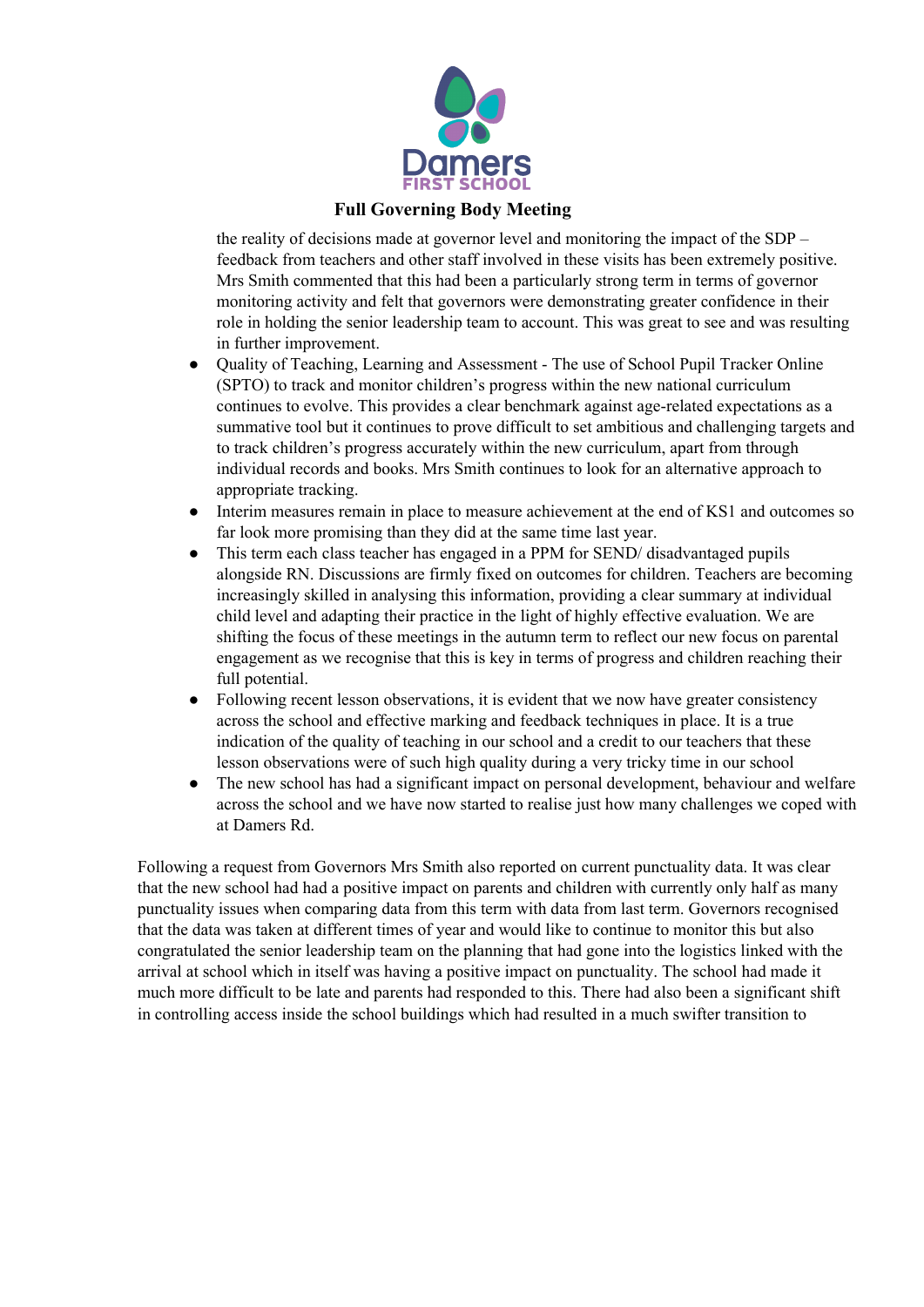

the reality of decisions made at governor level and monitoring the impact of the SDP – feedback from teachers and other staff involved in these visits has been extremely positive. Mrs Smith commented that this had been a particularly strong term in terms of governor monitoring activity and felt that governors were demonstrating greater confidence in their role in holding the senior leadership team to account. This was great to see and was resulting in further improvement.

- Quality of Teaching, Learning and Assessment The use of School Pupil Tracker Online (SPTO) to track and monitor children's progress within the new national curriculum continues to evolve. This provides a clear benchmark against age-related expectations as a summative tool but it continues to prove difficult to set ambitious and challenging targets and to track children's progress accurately within the new curriculum, apart from through individual records and books. Mrs Smith continues to look for an alternative approach to appropriate tracking.
- Interim measures remain in place to measure achievement at the end of KS1 and outcomes so far look more promising than they did at the same time last year.
- This term each class teacher has engaged in a PPM for SEND/ disadvantaged pupils alongside RN. Discussions are firmly fixed on outcomes for children. Teachers are becoming increasingly skilled in analysing this information, providing a clear summary at individual child level and adapting their practice in the light of highly effective evaluation. We are shifting the focus of these meetings in the autumn term to reflect our new focus on parental engagement as we recognise that this is key in terms of progress and children reaching their full potential.
- Following recent lesson observations, it is evident that we now have greater consistency across the school and effective marking and feedback techniques in place. It is a true indication of the quality of teaching in our school and a credit to our teachers that these lesson observations were of such high quality during a very tricky time in our school
- The new school has had a significant impact on personal development, behaviour and welfare across the school and we have now started to realise just how many challenges we coped with at Damers Rd.

Following a request from Governors Mrs Smith also reported on current punctuality data. It was clear that the new school had had a positive impact on parents and children with currently only half as many punctuality issues when comparing data from this term with data from last term. Governors recognised that the data was taken at different times of year and would like to continue to monitor this but also congratulated the senior leadership team on the planning that had gone into the logistics linked with the arrival at school which in itself was having a positive impact on punctuality. The school had made it much more difficult to be late and parents had responded to this. There had also been a significant shift in controlling access inside the school buildings which had resulted in a much swifter transition to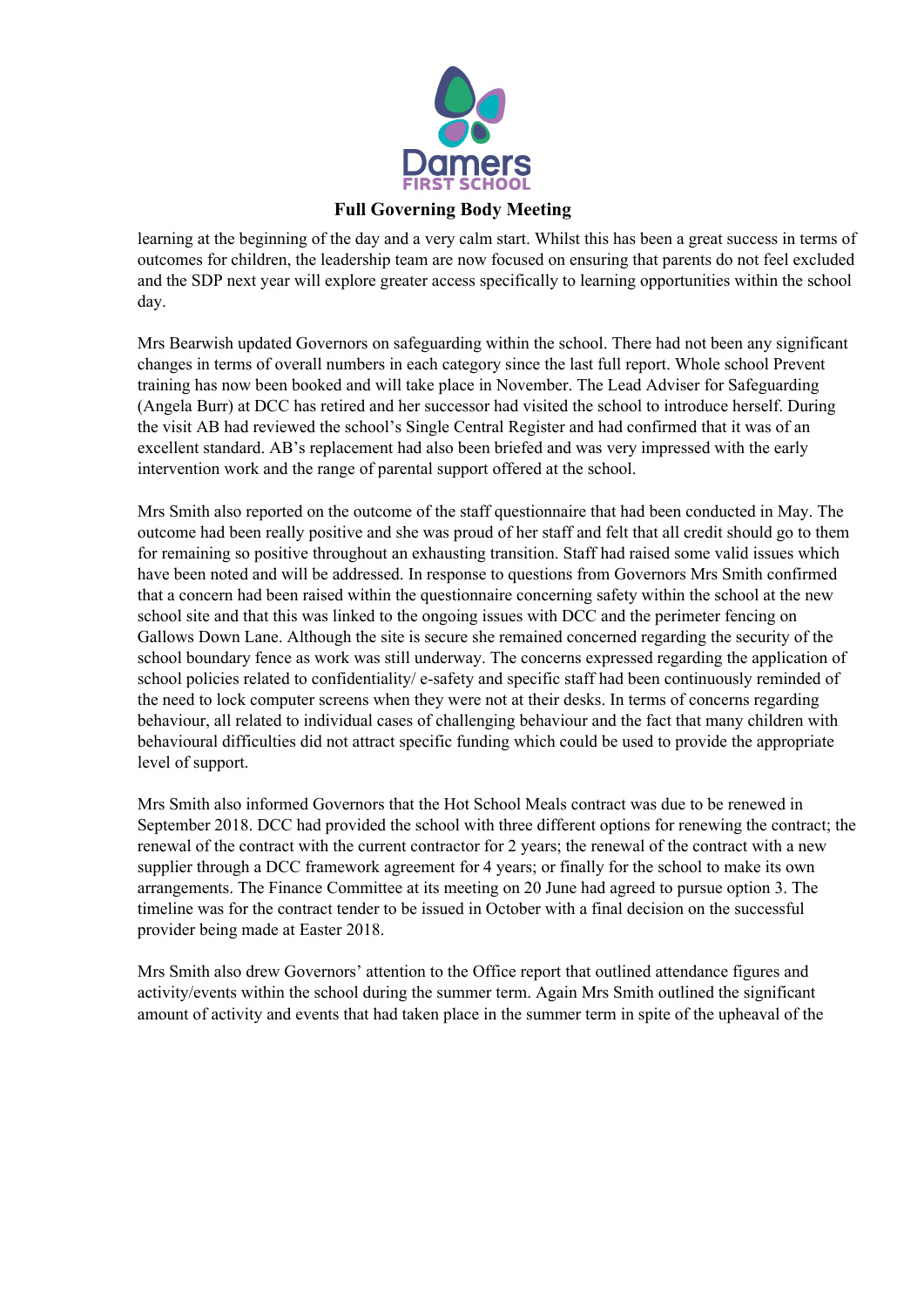

learning at the beginning of the day and a very calm start. Whilst this has been a great success in terms of outcomes for children, the leadership team are now focused on ensuring that parents do not feel excluded and the SDP next year will explore greater access specifically to learning opportunities within the school day.

Mrs Bearwish updated Governors on safeguarding within the school. There had not been any significant changes in terms of overall numbers in each category since the last full report. Whole school Prevent training has now been booked and will take place in November. The Lead Adviser for Safeguarding (Angela Burr) at DCC has retired and her successor had visited the school to introduce herself. During the visit AB had reviewed the school's Single Central Register and had confirmed that it was of an excellent standard. AB's replacement had also been briefed and was very impressed with the early intervention work and the range of parental support offered at the school.

Mrs Smith also reported on the outcome of the staff questionnaire that had been conducted in May. The outcome had been really positive and she was proud of her staff and felt that all credit should go to them for remaining so positive throughout an exhausting transition. Staff had raised some valid issues which have been noted and will be addressed. In response to questions from Governors Mrs Smith confirmed that a concern had been raised within the questionnaire concerning safety within the school at the new school site and that this was linked to the ongoing issues with DCC and the perimeter fencing on Gallows Down Lane. Although the site is secure she remained concerned regarding the security of the school boundary fence as work was still underway. The concerns expressed regarding the application of school policies related to confidentiality/ e-safety and specific staff had been continuously reminded of the need to lock computer screens when they were not at their desks. In terms of concerns regarding behaviour, all related to individual cases of challenging behaviour and the fact that many children with behavioural difficulties did not attract specific funding which could be used to provide the appropriate level of support.

Mrs Smith also informed Governors that the Hot School Meals contract was due to be renewed in September 2018. DCC had provided the school with three different options for renewing the contract; the renewal of the contract with the current contractor for 2 years; the renewal of the contract with a new supplier through a DCC framework agreement for 4 years; or finally for the school to make its own arrangements. The Finance Committee at its meeting on 20 June had agreed to pursue option 3. The timeline was for the contract tender to be issued in October with a final decision on the successful provider being made at Easter 2018.

Mrs Smith also drew Governors' attention to the Office report that outlined attendance figures and activity/events within the school during the summer term. Again Mrs Smith outlined the significant amount of activity and events that had taken place in the summer term in spite of the upheaval of the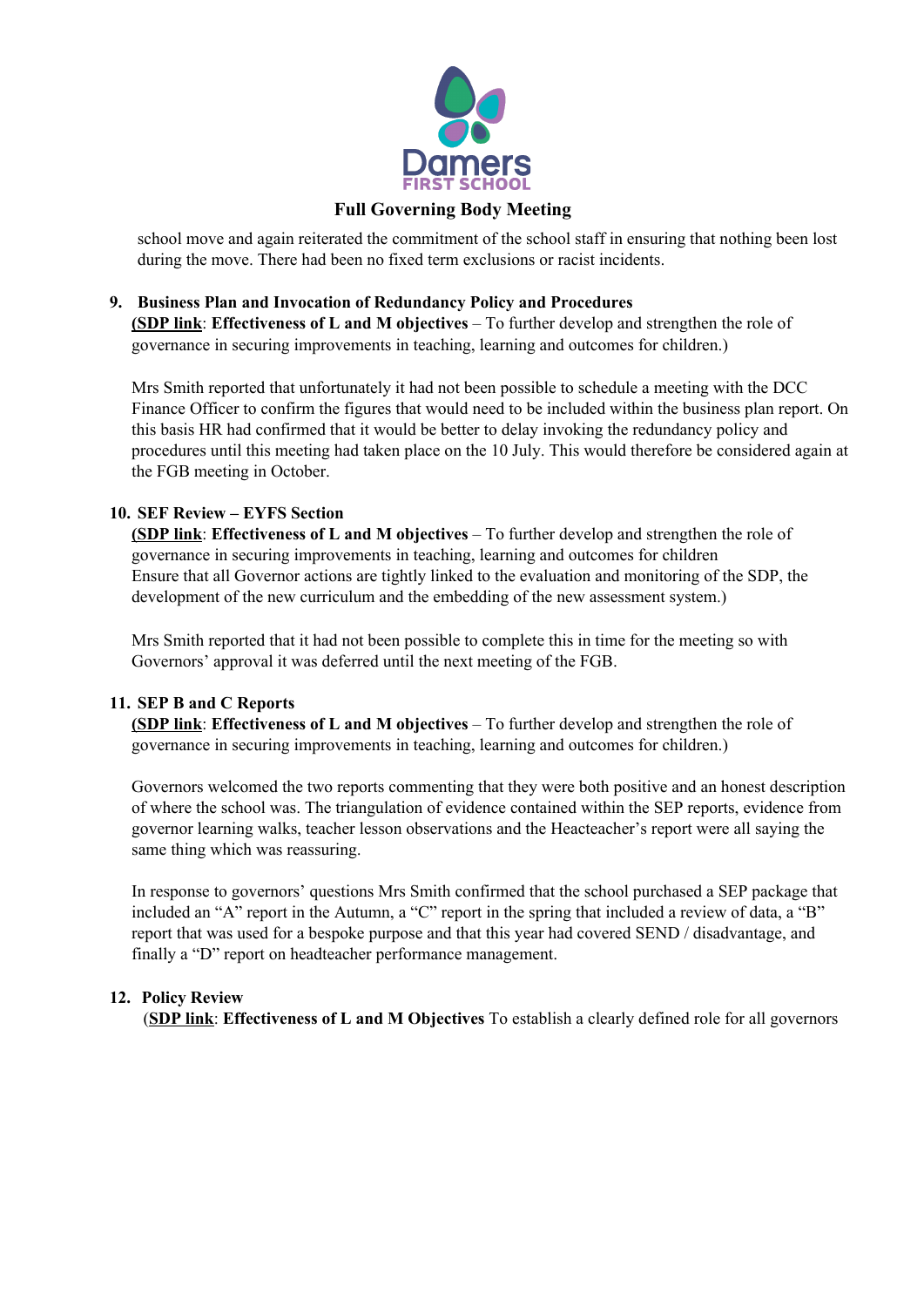

school move and again reiterated the commitment of the school staff in ensuring that nothing been lost during the move. There had been no fixed term exclusions or racist incidents.

#### **9. Business Plan and Invocation of Redundancy Policy and Procedures**

**(SDP link**: **Effectiveness of L and M objectives** – To further develop and strengthen the role of governance in securing improvements in teaching, learning and outcomes for children.)

Mrs Smith reported that unfortunately it had not been possible to schedule a meeting with the DCC Finance Officer to confirm the figures that would need to be included within the business plan report. On this basis HR had confirmed that it would be better to delay invoking the redundancy policy and procedures until this meeting had taken place on the 10 July. This would therefore be considered again at the FGB meeting in October.

### **10. SEF Review – EYFS Section**

**(SDP link**: **Effectiveness of L and M objectives** – To further develop and strengthen the role of governance in securing improvements in teaching, learning and outcomes for children Ensure that all Governor actions are tightly linked to the evaluation and monitoring of the SDP, the development of the new curriculum and the embedding of the new assessment system.)

Mrs Smith reported that it had not been possible to complete this in time for the meeting so with Governors' approval it was deferred until the next meeting of the FGB.

#### **11. SEP B and C Reports**

**(SDP link**: **Effectiveness of L and M objectives** – To further develop and strengthen the role of governance in securing improvements in teaching, learning and outcomes for children.)

Governors welcomed the two reports commenting that they were both positive and an honest description of where the school was. The triangulation of evidence contained within the SEP reports, evidence from governor learning walks, teacher lesson observations and the Heacteacher's report were all saying the same thing which was reassuring.

In response to governors' questions Mrs Smith confirmed that the school purchased a SEP package that included an "A" report in the Autumn, a "C" report in the spring that included a review of data, a "B" report that was used for a bespoke purpose and that this year had covered SEND / disadvantage, and finally a "D" report on headteacher performance management.

#### **12. Policy Review**

(**SDP link**: **Effectiveness of L and M Objectives** To establish a clearly defined role for all governors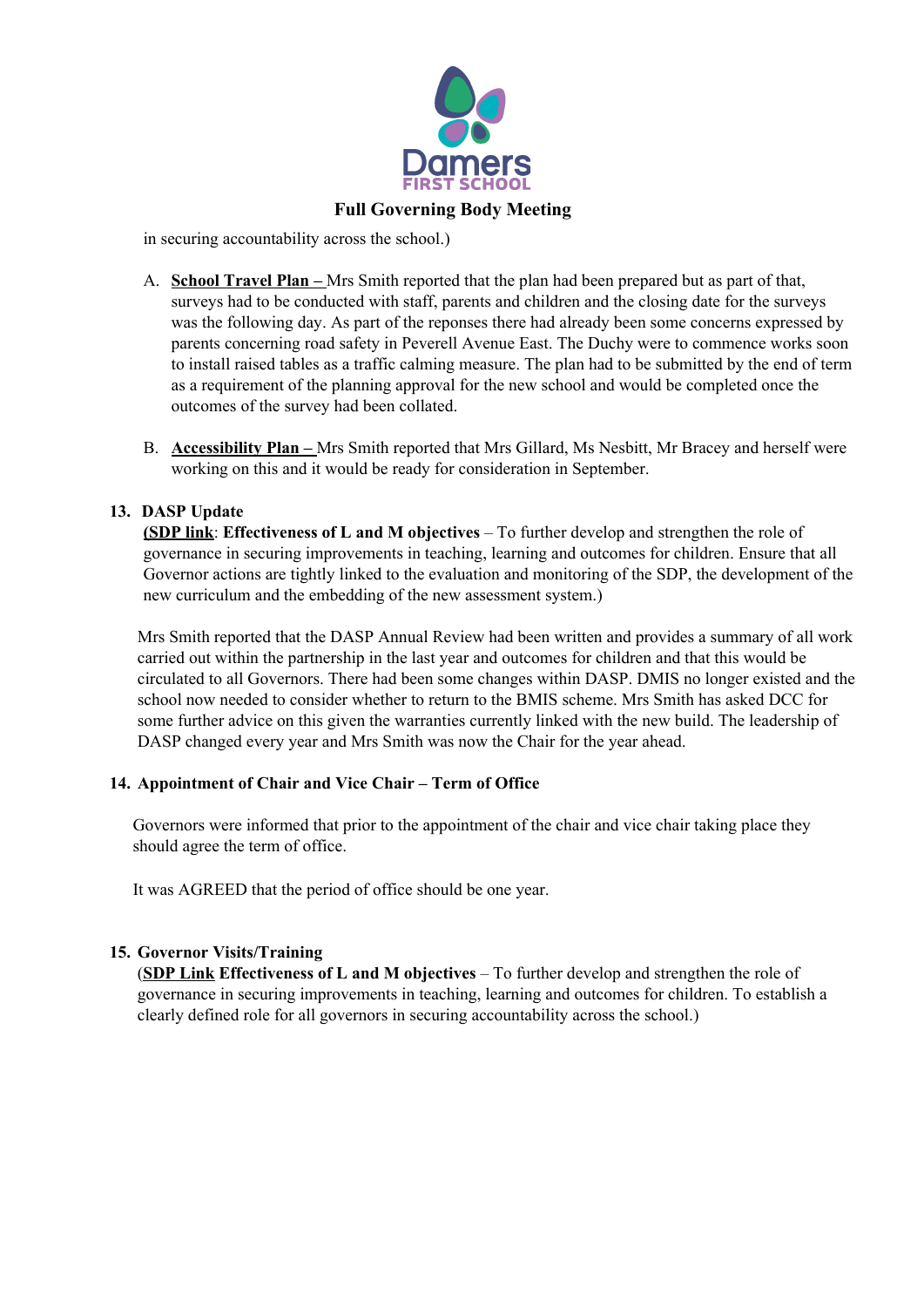

in securing accountability across the school.)

- A. **School Travel Plan –** Mrs Smith reported that the plan had been prepared but as part of that, surveys had to be conducted with staff, parents and children and the closing date for the surveys was the following day. As part of the reponses there had already been some concerns expressed by parents concerning road safety in Peverell Avenue East. The Duchy were to commence works soon to install raised tables as a traffic calming measure. The plan had to be submitted by the end of term as a requirement of the planning approval for the new school and would be completed once the outcomes of the survey had been collated.
- B. **Accessibility Plan –** Mrs Smith reported that Mrs Gillard, Ms Nesbitt, Mr Bracey and herself were working on this and it would be ready for consideration in September.

### **13. DASP Update**

**(SDP link**: **Effectiveness of L and M objectives** – To further develop and strengthen the role of governance in securing improvements in teaching, learning and outcomes for children. Ensure that all Governor actions are tightly linked to the evaluation and monitoring of the SDP, the development of the new curriculum and the embedding of the new assessment system.)

Mrs Smith reported that the DASP Annual Review had been written and provides a summary of all work carried out within the partnership in the last year and outcomes for children and that this would be circulated to all Governors. There had been some changes within DASP. DMIS no longer existed and the school now needed to consider whether to return to the BMIS scheme. Mrs Smith has asked DCC for some further advice on this given the warranties currently linked with the new build. The leadership of DASP changed every year and Mrs Smith was now the Chair for the year ahead.

### **14. Appointment of Chair and Vice Chair – Term of Office**

Governors were informed that prior to the appointment of the chair and vice chair taking place they should agree the term of office.

It was AGREED that the period of office should be one year.

### **15. Governor Visits/Training**

(**SDP Link Effectiveness of L and M objectives** – To further develop and strengthen the role of governance in securing improvements in teaching, learning and outcomes for children. To establish a clearly defined role for all governors in securing accountability across the school.)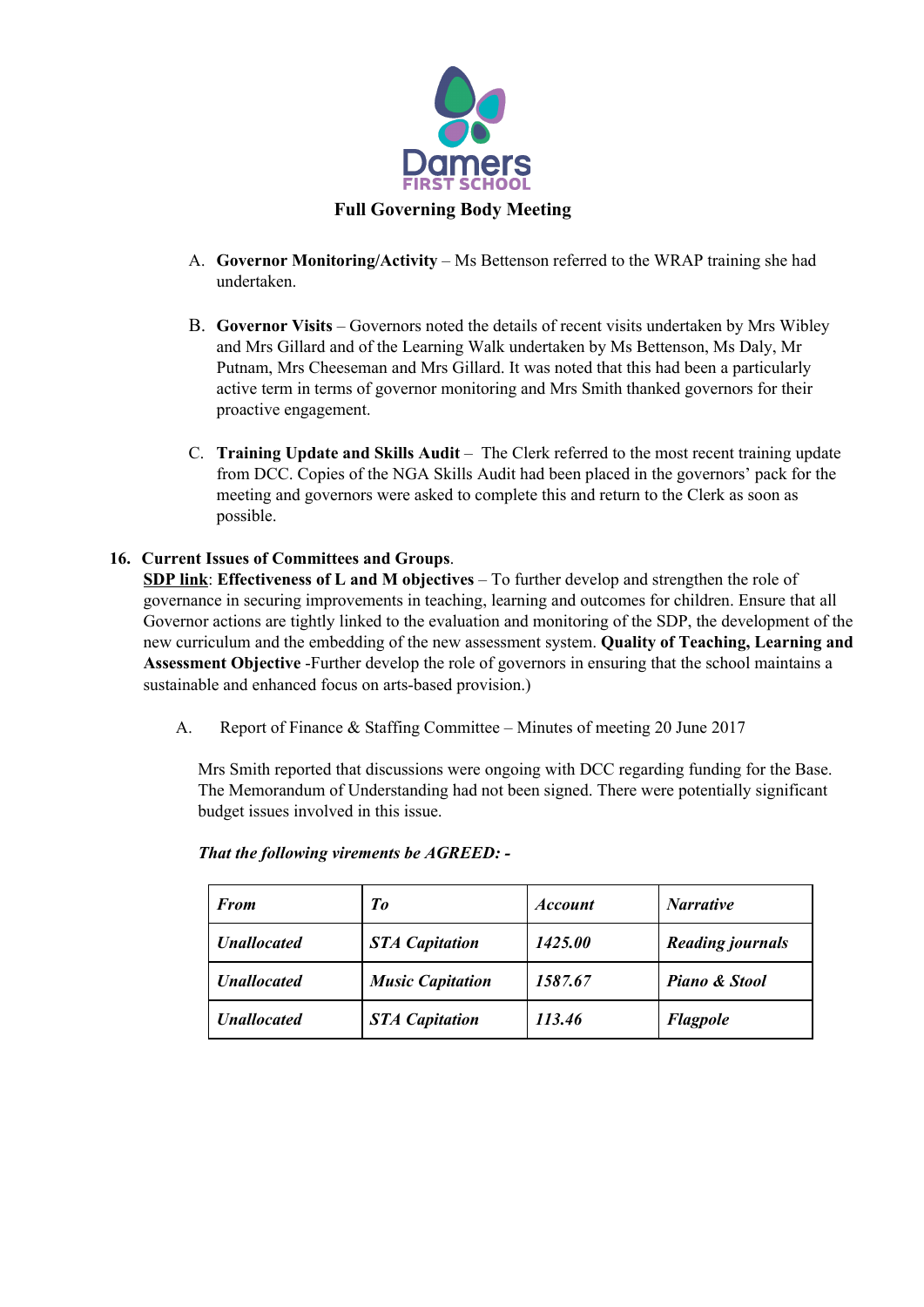

- A. **Governor Monitoring/Activity** Ms Bettenson referred to the WRAP training she had undertaken.
- B. **Governor Visits** Governors noted the details of recent visits undertaken by Mrs Wibley and Mrs Gillard and of the Learning Walk undertaken by Ms Bettenson, Ms Daly, Mr Putnam, Mrs Cheeseman and Mrs Gillard. It was noted that this had been a particularly active term in terms of governor monitoring and Mrs Smith thanked governors for their proactive engagement.
- C. **Training Update and Skills Audit** The Clerk referred to the most recent training update from DCC. Copies of the NGA Skills Audit had been placed in the governors' pack for the meeting and governors were asked to complete this and return to the Clerk as soon as possible.

### **16. Current Issues of Committees and Groups**.

**SDP link**: **Effectiveness of L and M objectives** – To further develop and strengthen the role of governance in securing improvements in teaching, learning and outcomes for children. Ensure that all Governor actions are tightly linked to the evaluation and monitoring of the SDP, the development of the new curriculum and the embedding of the new assessment system. **Quality of Teaching, Learning and Assessment Objective** -Further develop the role of governors in ensuring that the school maintains a sustainable and enhanced focus on arts-based provision.)

A. Report of Finance & Staffing Committee – Minutes of meeting 20 June 2017

Mrs Smith reported that discussions were ongoing with DCC regarding funding for the Base. The Memorandum of Understanding had not been signed. There were potentially significant budget issues involved in this issue.

| <b>From</b>               | $T_{0}$                 | <i>Account</i> | <b>Narrative</b>        |
|---------------------------|-------------------------|----------------|-------------------------|
| <b><i>Unallocated</i></b> | <b>STA Capitation</b>   | 1425.00        | <b>Reading journals</b> |
| <b><i>Unallocated</i></b> | <b>Music Capitation</b> | 1587.67        | Piano & Stool           |
| <b><i>Unallocated</i></b> | <b>STA Capitation</b>   | 113.46         | <b>Flagpole</b>         |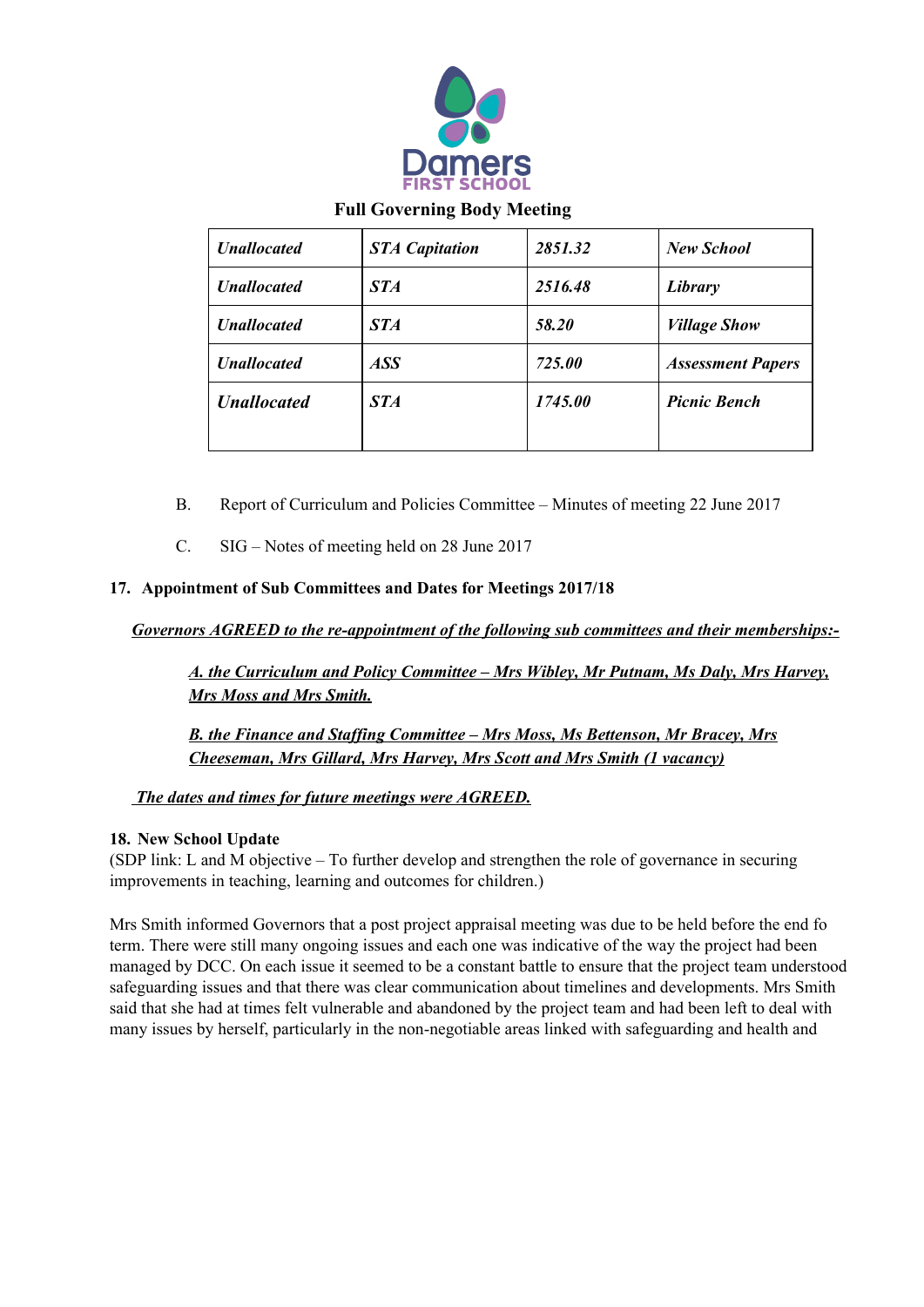

| <b><i>Unallocated</i></b> | <b>STA Capitation</b> | 2851.32       | <b>New School</b>        |
|---------------------------|-----------------------|---------------|--------------------------|
| <b><i>Unallocated</i></b> | <b>STA</b>            | 2516.48       | Library                  |
| <b><i>Unallocated</i></b> | <b>STA</b>            | 58.20         | <b>Village Show</b>      |
| <b><i>Unallocated</i></b> | ASS <sup>-</sup>      | <b>725.00</b> | <b>Assessment Papers</b> |
| <b><i>Unallocated</i></b> | <b>STA</b>            | 1745.00       | <b>Picnic Bench</b>      |
|                           |                       |               |                          |

- B. Report of Curriculum and Policies Committee Minutes of meeting 22 June 2017
- C. SIG Notes of meeting held on 28 June 2017

# **17. Appointment of Sub Committees and Dates for Meetings 2017/18**

*Governors AGREED to the re-appointment of the following sub committees and their memberships:-*

*A. the Curriculum and Policy Committee – Mrs Wibley, Mr Putnam, Ms Daly, Mrs Harvey, Mrs Moss and Mrs Smith.*

*B. the Finance and Staf ing Committee – Mrs Moss, Ms Bettenson, Mr Bracey, Mrs Cheeseman, Mrs Gillard, Mrs Harvey, Mrs Scott and Mrs Smith (1 vacancy)*

### *The dates and times for future meetings were AGREED.*

### **18. New School Update**

(SDP link: L and M objective – To further develop and strengthen the role of governance in securing improvements in teaching, learning and outcomes for children.)

Mrs Smith informed Governors that a post project appraisal meeting was due to be held before the end fo term. There were still many ongoing issues and each one was indicative of the way the project had been managed by DCC. On each issue it seemed to be a constant battle to ensure that the project team understood safeguarding issues and that there was clear communication about timelines and developments. Mrs Smith said that she had at times felt vulnerable and abandoned by the project team and had been left to deal with many issues by herself, particularly in the non-negotiable areas linked with safeguarding and health and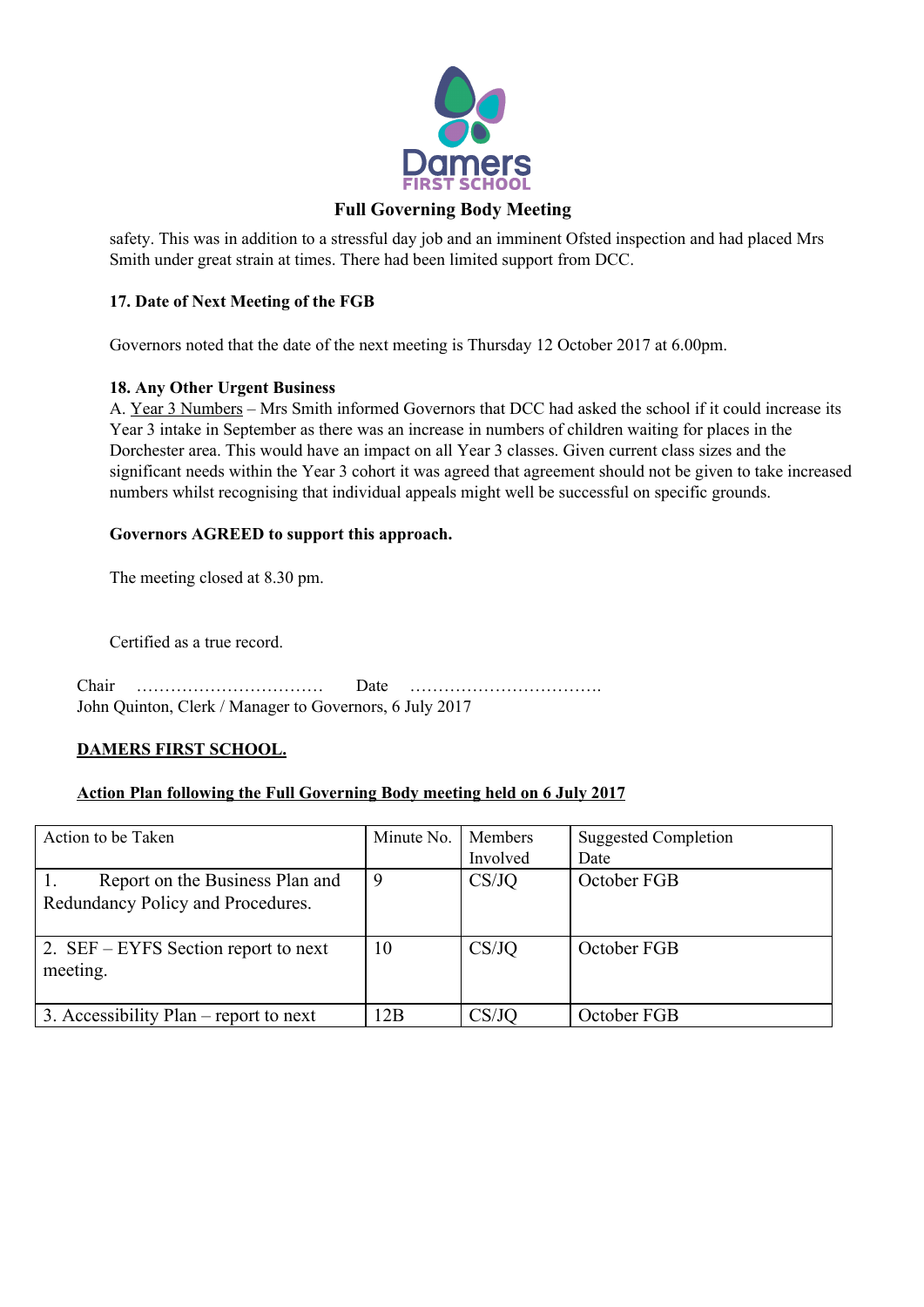

safety. This was in addition to a stressful day job and an imminent Ofsted inspection and had placed Mrs Smith under great strain at times. There had been limited support from DCC.

# **17. Date of Next Meeting of the FGB**

Governors noted that the date of the next meeting is Thursday 12 October 2017 at 6.00pm.

### **18. Any Other Urgent Business**

A. Year 3 Numbers – Mrs Smith informed Governors that DCC had asked the school if it could increase its Year 3 intake in September as there was an increase in numbers of children waiting for places in the Dorchester area. This would have an impact on all Year 3 classes. Given current class sizes and the significant needs within the Year 3 cohort it was agreed that agreement should not be given to take increased numbers whilst recognising that individual appeals might well be successful on specific grounds.

### **Governors AGREED to support this approach.**

The meeting closed at 8.30 pm.

Certified as a true record.

Chair …………………………… Date ……………………………. John Quinton, Clerk / Manager to Governors, 6 July 2017

### **DAMERS FIRST SCHOOL.**

### **Action Plan following the Full Governing Body meeting held on 6 July 2017**

| Action to be Taken                                                   | Minute No. | Members<br>Involved | <b>Suggested Completion</b><br>Date |
|----------------------------------------------------------------------|------------|---------------------|-------------------------------------|
| Report on the Business Plan and<br>Redundancy Policy and Procedures. | 9          | CS/JO               | October FGB                         |
| $\vert$ 2. SEF – EYFS Section report to next<br>meeting.             | 10         | CS/JO               | October FGB                         |
| $\vert$ 3. Accessibility Plan – report to next                       | 12B        | CS/JO               | October FGB                         |